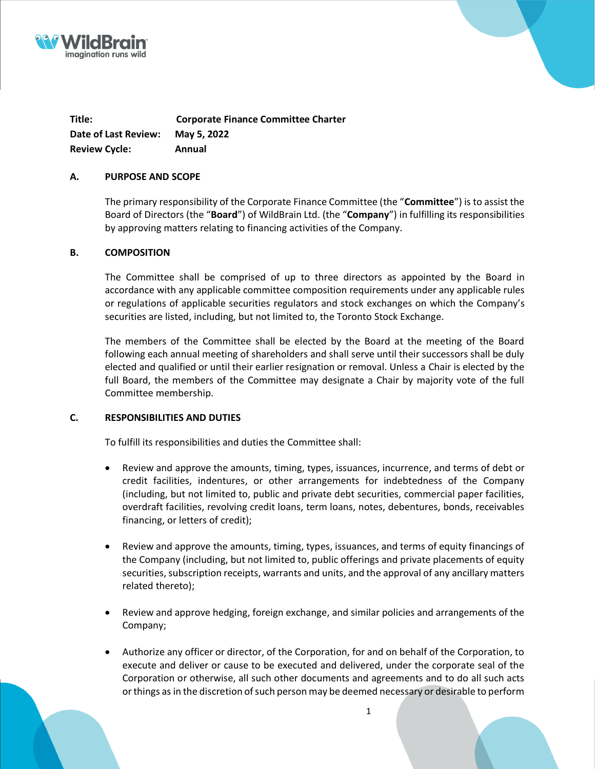



**Title: Corporate Finance Committee Charter Date of Last Review: May 5, 2022 Review Cycle: Annual**

## **A. PURPOSE AND SCOPE**

The primary responsibility of the Corporate Finance Committee (the "**Committee**") is to assist the Board of Directors (the "**Board**") of WildBrain Ltd. (the "**Company**") in fulfilling its responsibilities by approving matters relating to financing activities of the Company.

## **B. COMPOSITION**

The Committee shall be comprised of up to three directors as appointed by the Board in accordance with any applicable committee composition requirements under any applicable rules or regulations of applicable securities regulators and stock exchanges on which the Company's securities are listed, including, but not limited to, the Toronto Stock Exchange.

The members of the Committee shall be elected by the Board at the meeting of the Board following each annual meeting of shareholders and shall serve until their successors shall be duly elected and qualified or until their earlier resignation or removal. Unless a Chair is elected by the full Board, the members of the Committee may designate a Chair by majority vote of the full Committee membership.

### **C. RESPONSIBILITIES AND DUTIES**

To fulfill its responsibilities and duties the Committee shall:

- Review and approve the amounts, timing, types, issuances, incurrence, and terms of debt or credit facilities, indentures, or other arrangements for indebtedness of the Company (including, but not limited to, public and private debt securities, commercial paper facilities, overdraft facilities, revolving credit loans, term loans, notes, debentures, bonds, receivables financing, or letters of credit);
- Review and approve the amounts, timing, types, issuances, and terms of equity financings of the Company (including, but not limited to, public offerings and private placements of equity securities, subscription receipts, warrants and units, and the approval of any ancillary matters related thereto);
- Review and approve hedging, foreign exchange, and similar policies and arrangements of the Company;
- Authorize any officer or director, of the Corporation, for and on behalf of the Corporation, to execute and deliver or cause to be executed and delivered, under the corporate seal of the Corporation or otherwise, all such other documents and agreements and to do all such acts or things as in the discretion of such person may be deemed necessary or desirable to perform